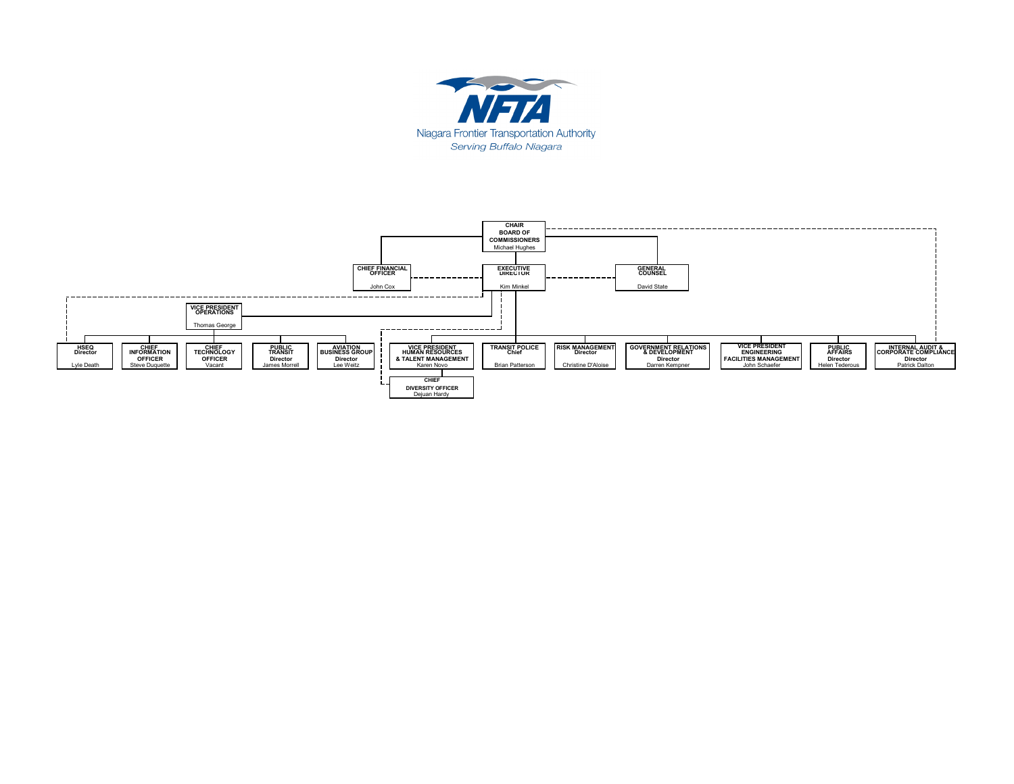

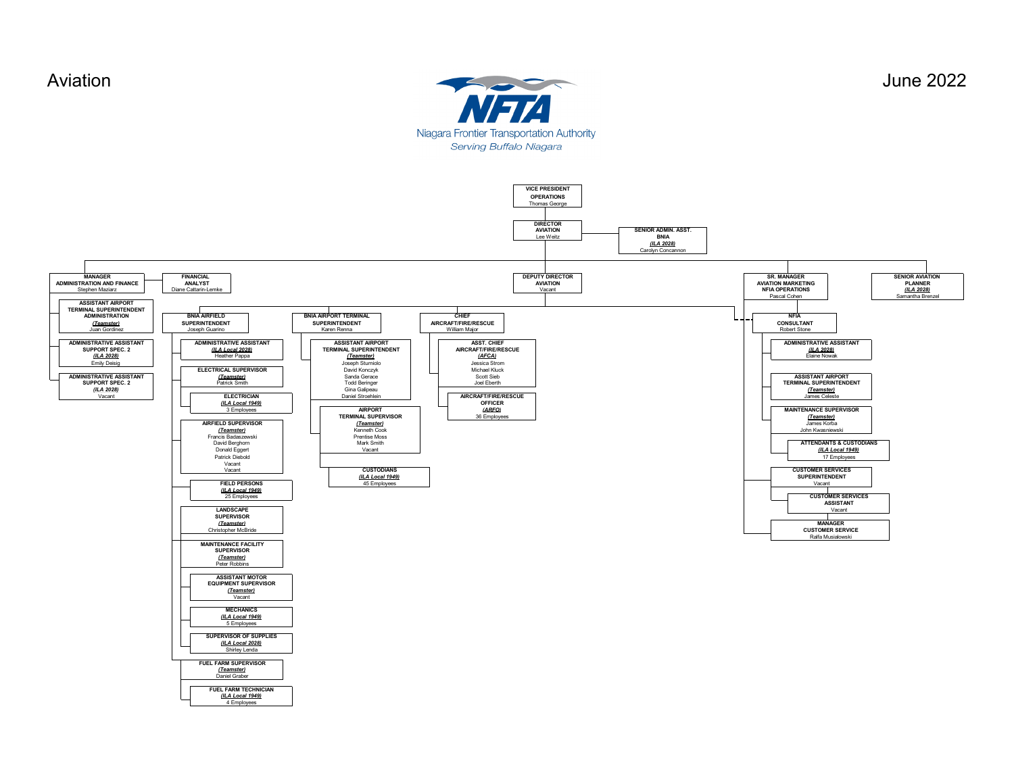Stephen Maziarz

**MANAGER ADMINISTRATION AND FINANCE**





*(ILA Local 1949)* 4 Employees

**FINANCIAL ANALYST** Diane Cattarin-Lemke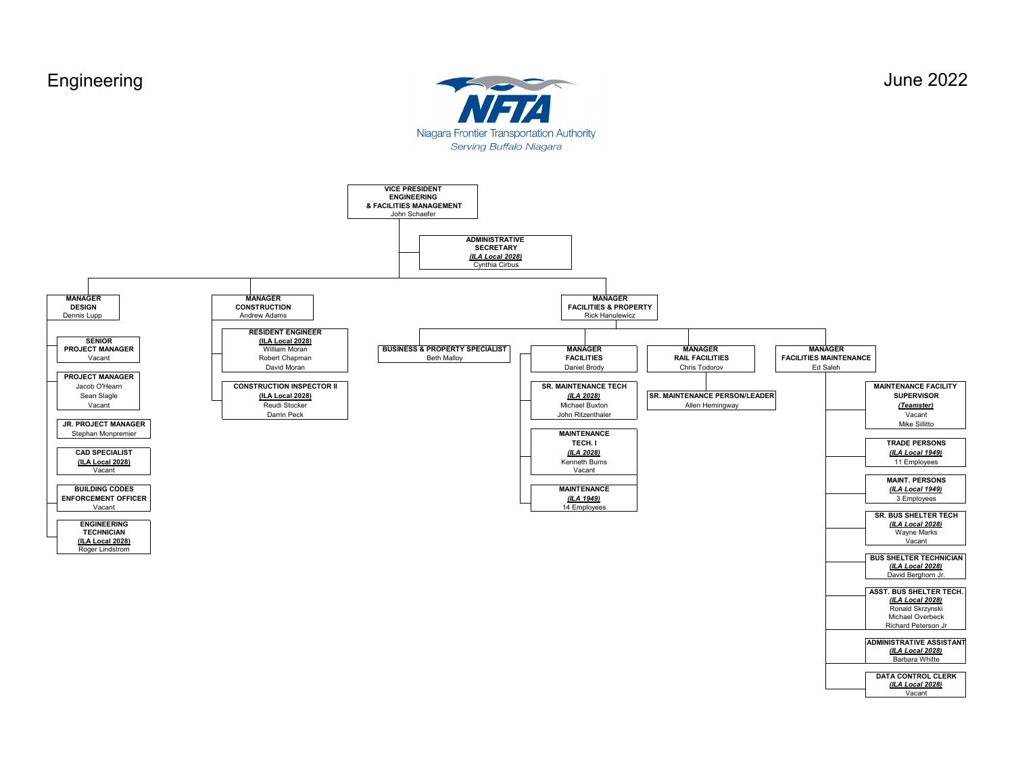

**ADMINISTRATIVE ASSISTANT** *(ILA Local 2028)* **DATA CONTROL CLERK** Barbara Whitte

Vacant *(ILA Local 2028)*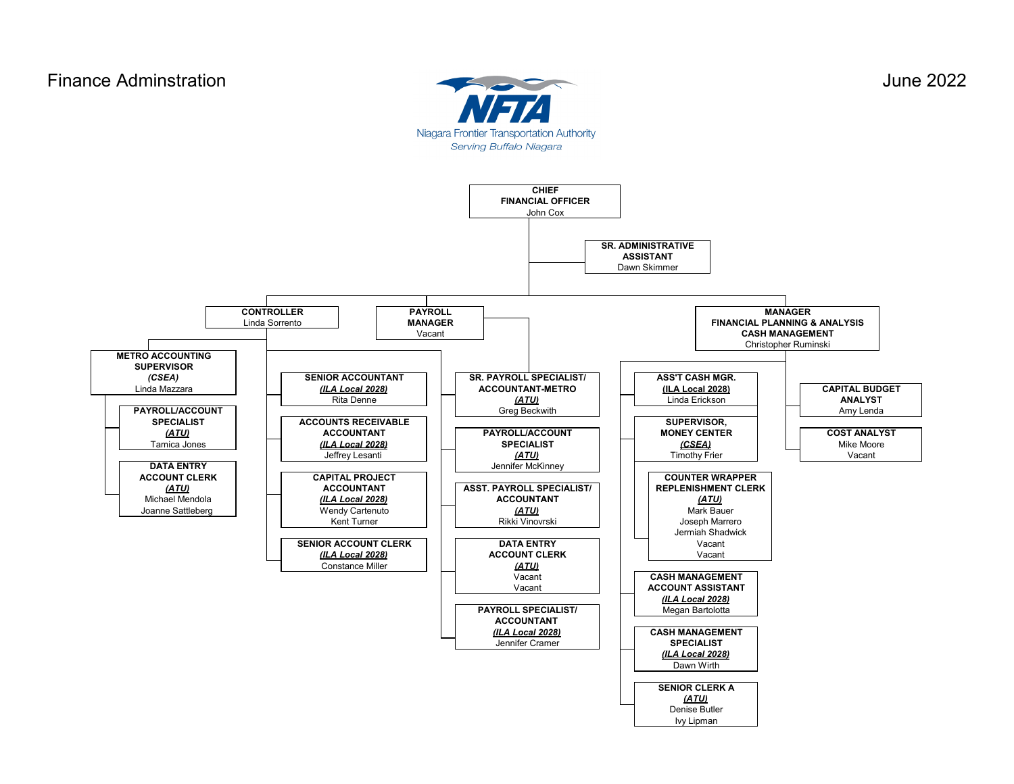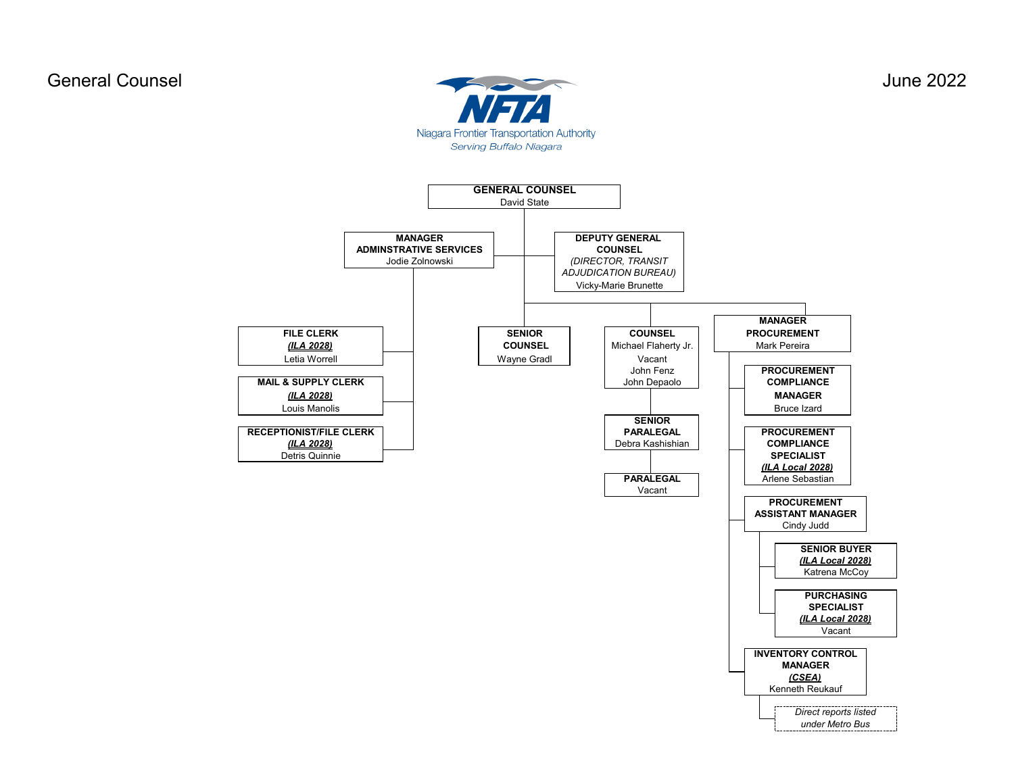General Counsel June 2022 Niagara Frontier Transportation Authority Serving Buffalo Niagara

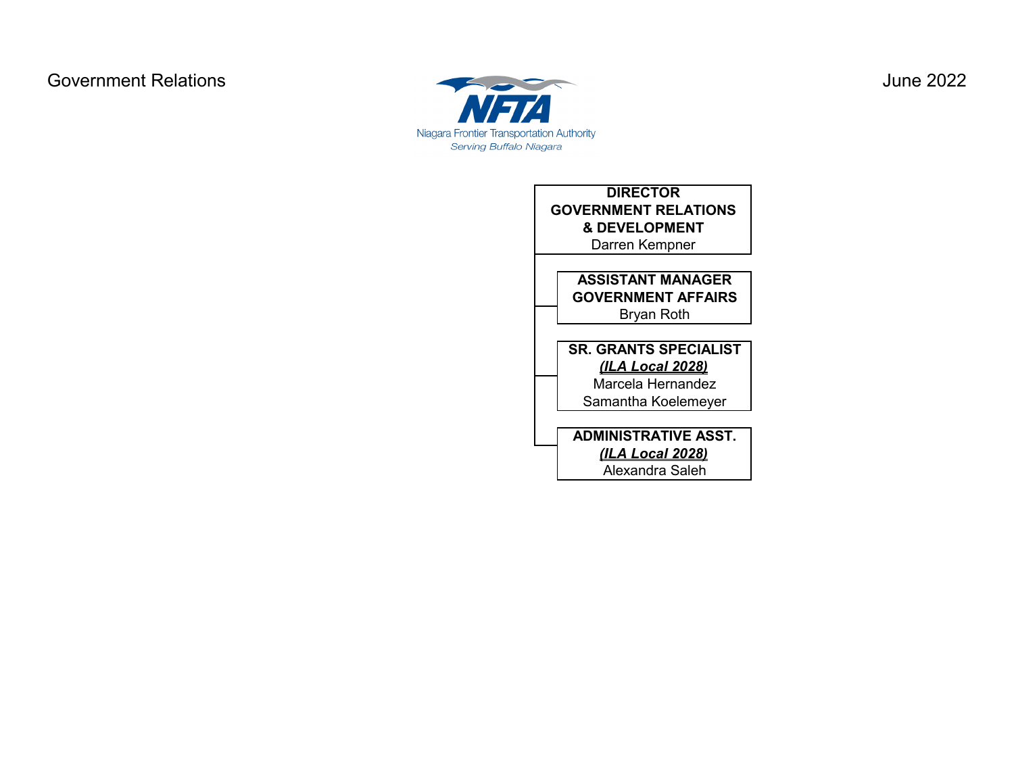

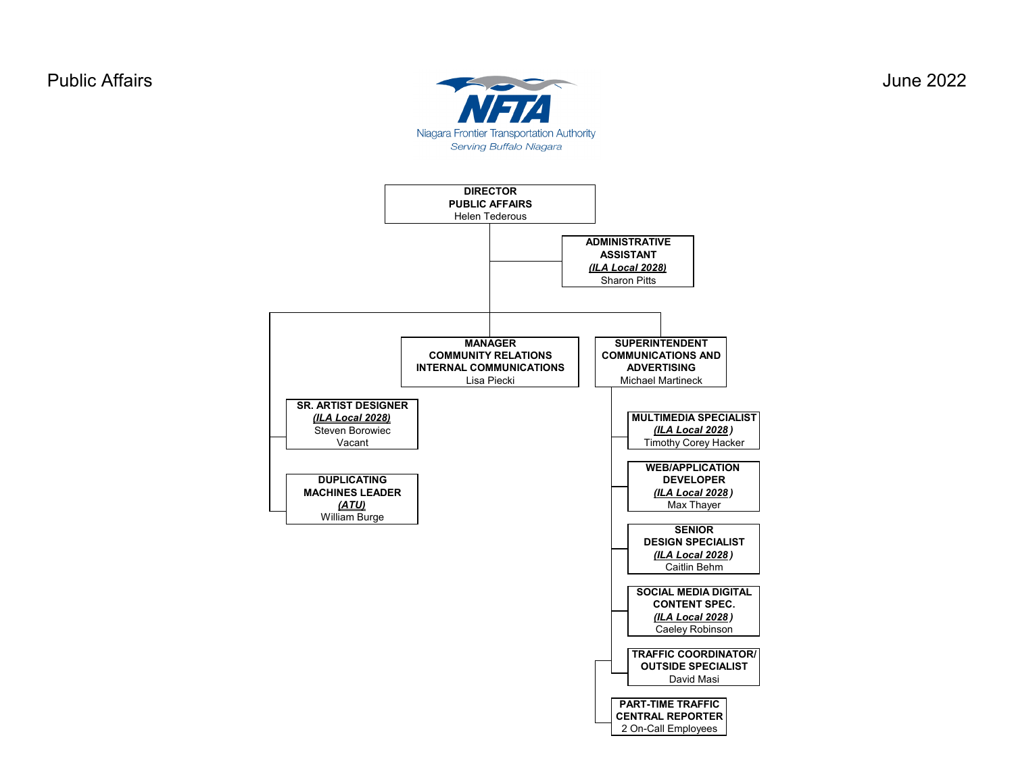

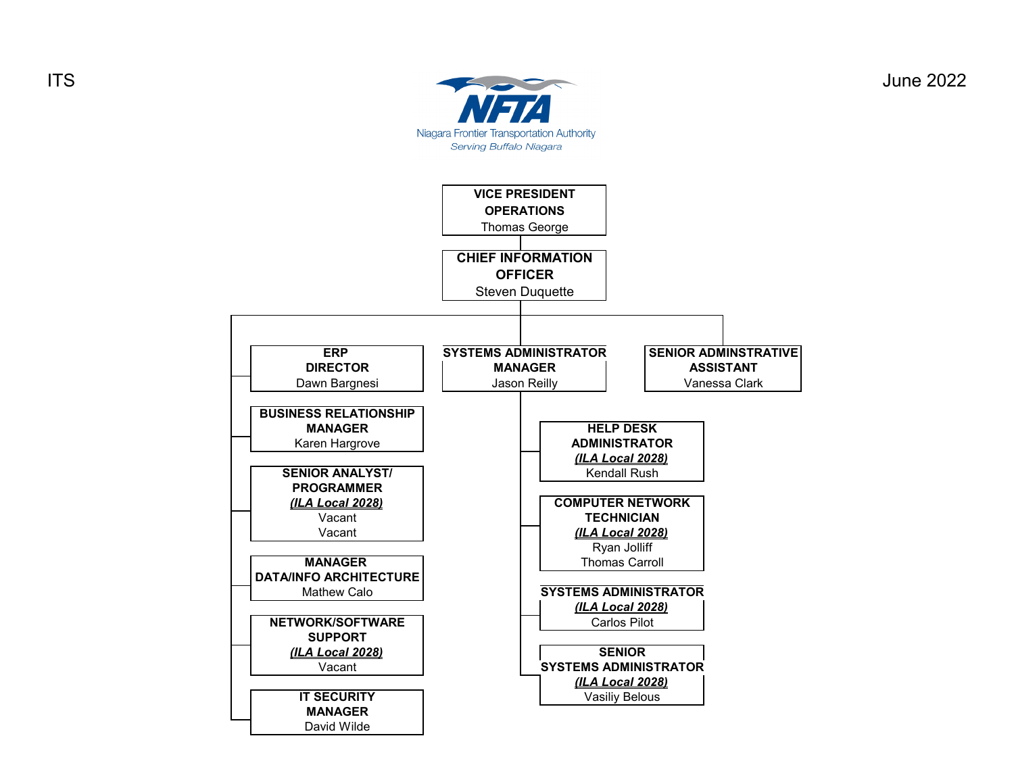

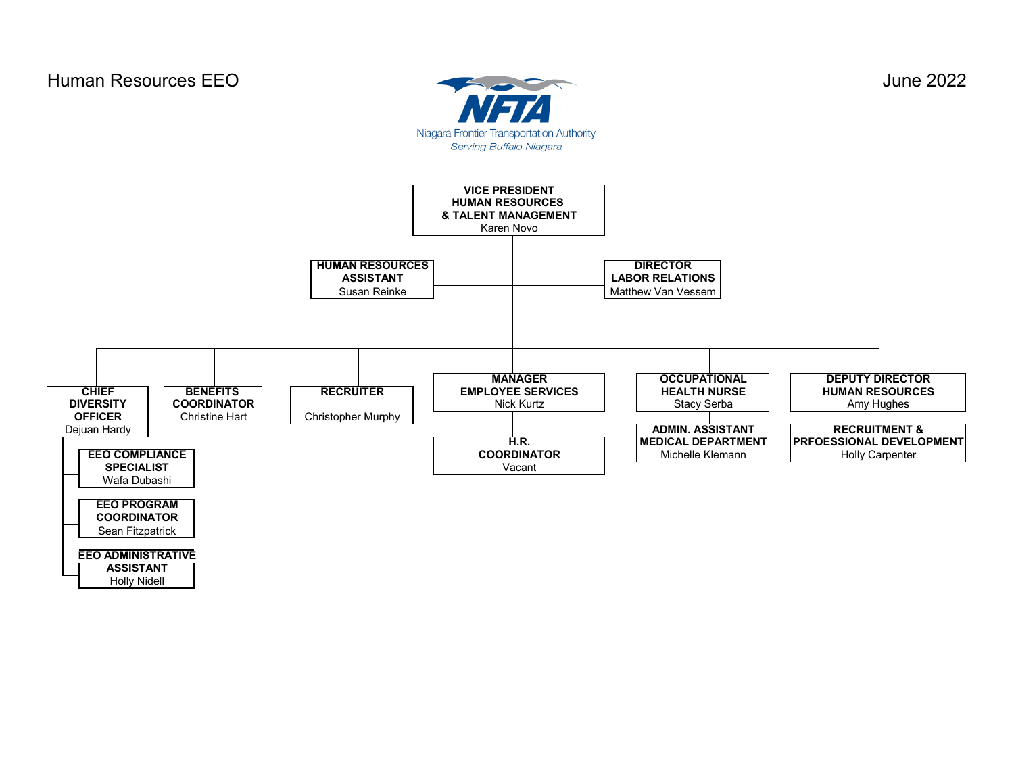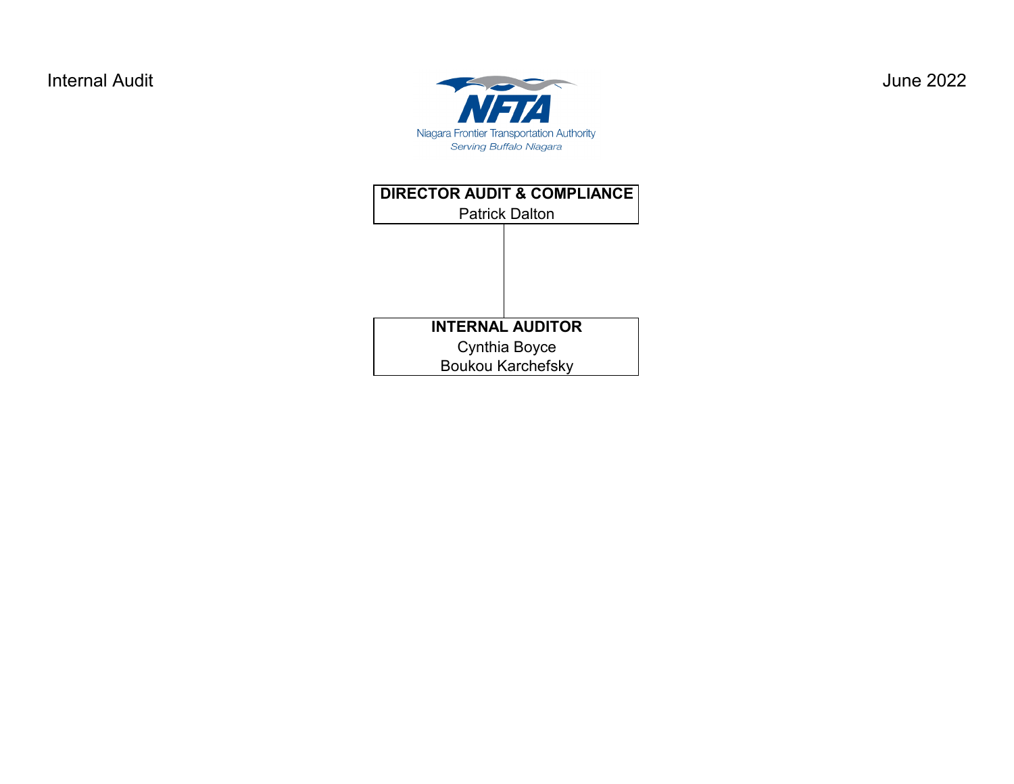

Patrick Dalton **DIRECTOR AUDIT & COMPLIANCE** Cynthia Boyce Boukou Karchefsky **INTERNAL AUDITOR**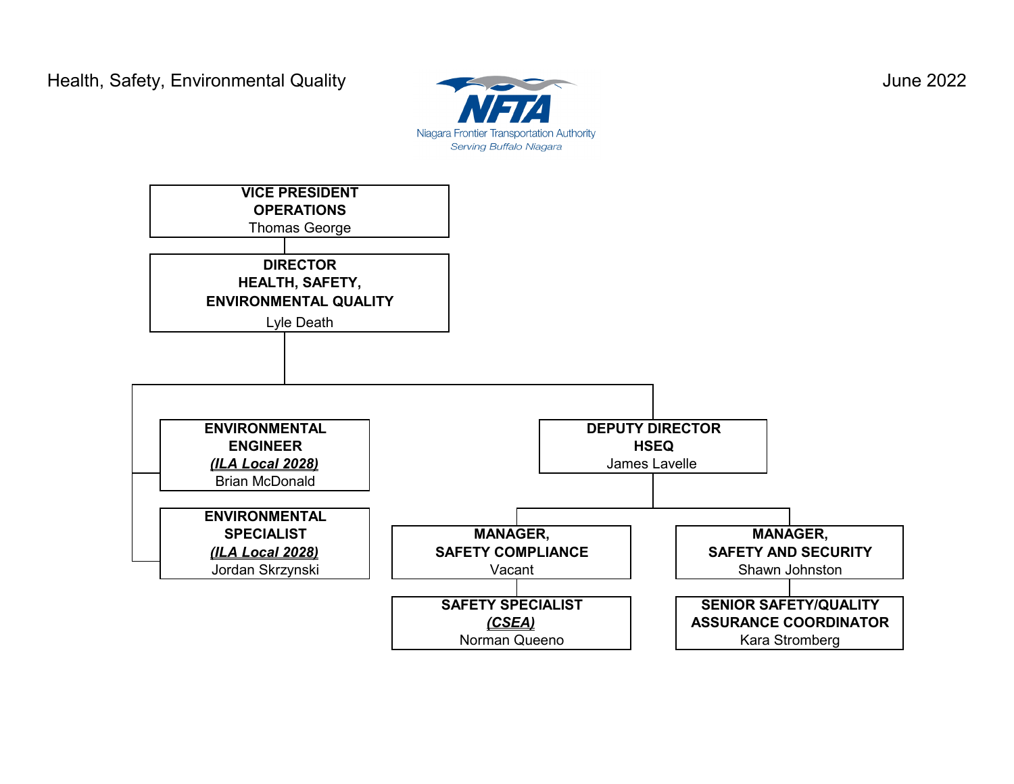

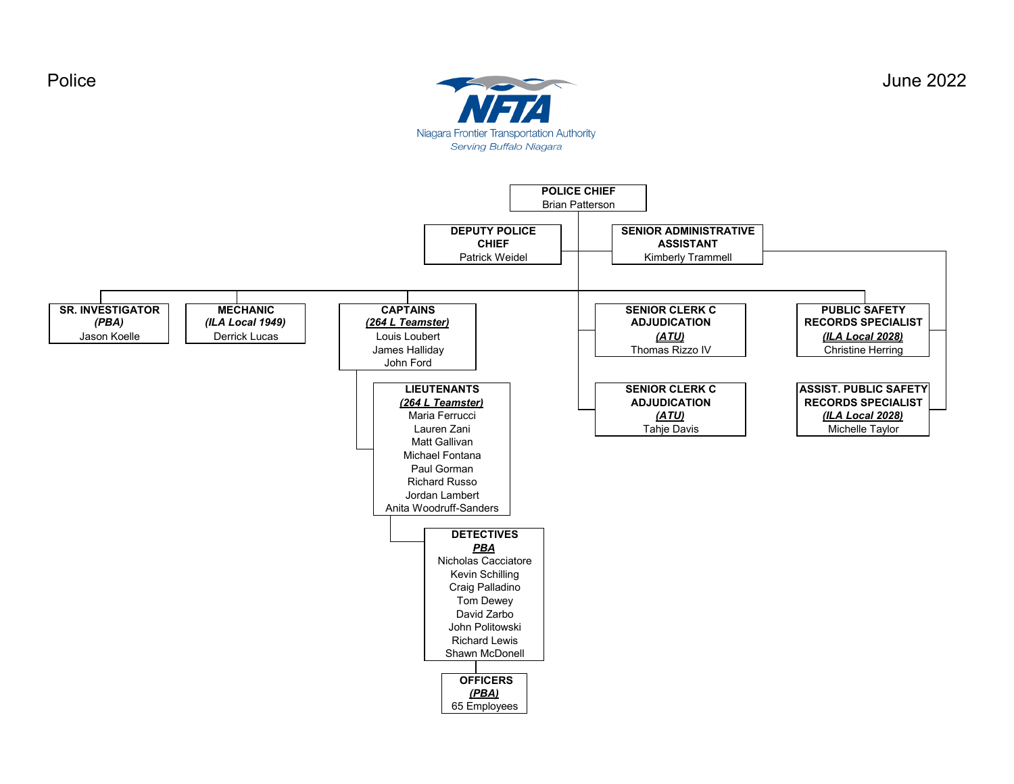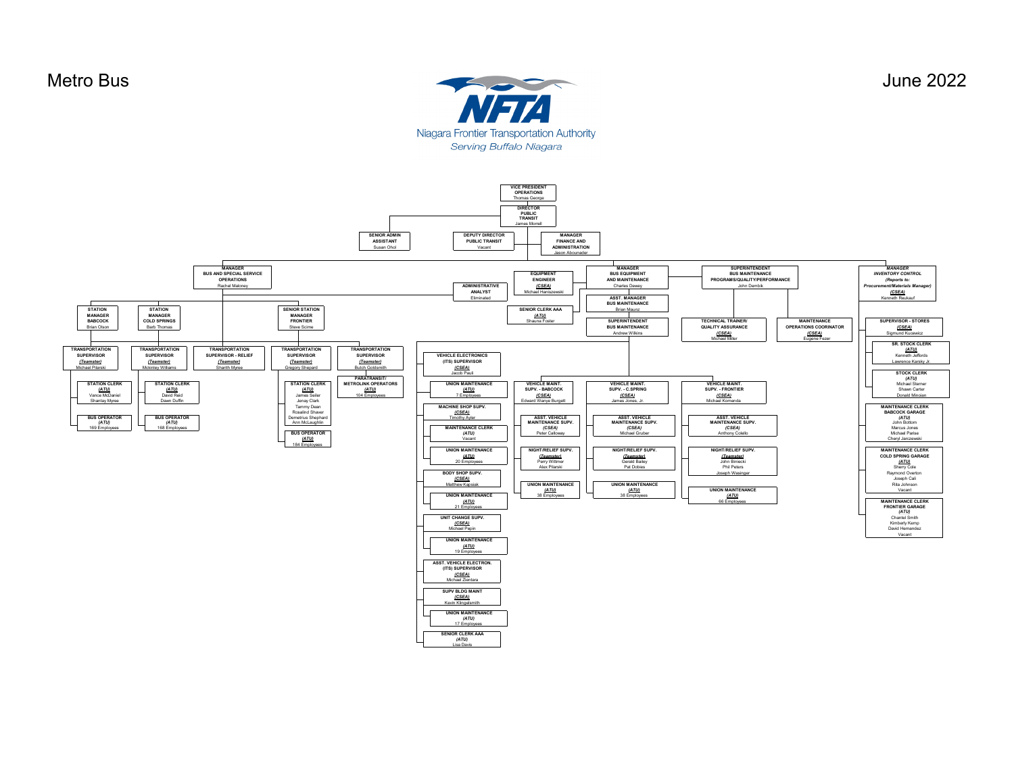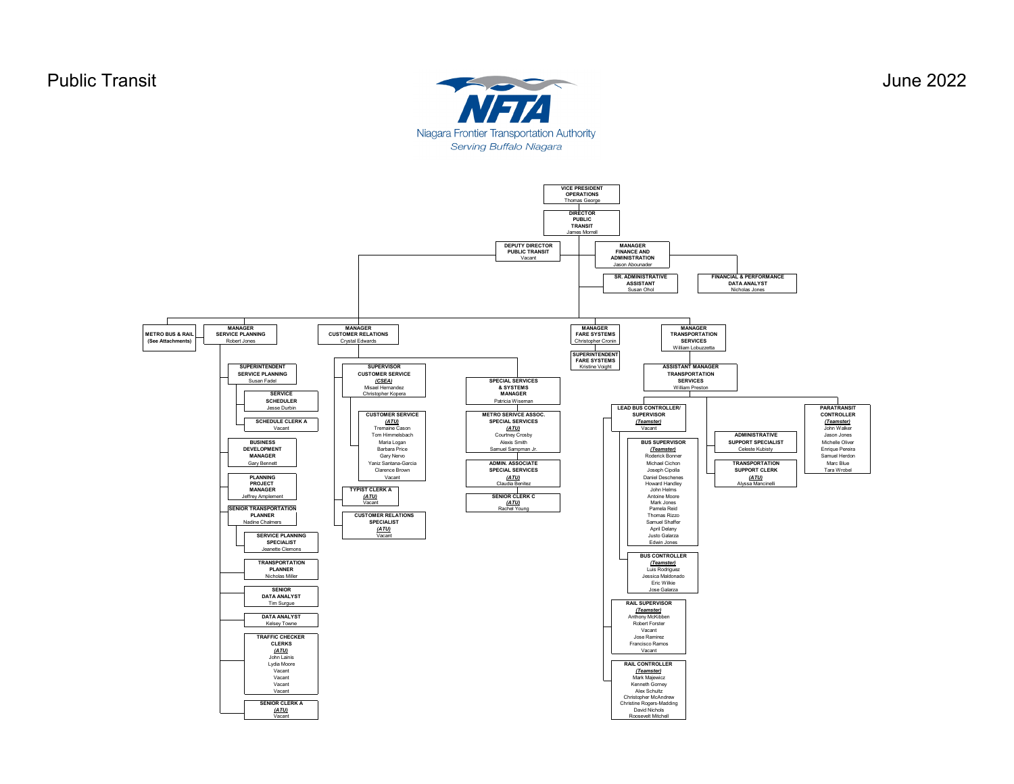

**VICE PRESIDENT OPERATIONS** Thomas George **DIRECTOR PUBLIC TRANSIT** mes Mo **DEPUTY DIRECTOR PUBLIC TRANSIT MANAGER FINANCE AND Vacant ADMINISTRATION** Jason Abounader **SR. ADMINISTRATIVE FINANCIAL & PERFORMANCE ASSISTANT DATA ANALYST** Susan Ohol Nicholas Jones **MANAGER MANAGER MANAGER MANAGER SERVICE PLANNING CUSTOMER RELATIONS TRANSPORTATION METRO BUS & RA FARE SYSTEMS SERVICES (See Attachments)** Robert Jones Crystal Edwards Christopher Cronin  $\blacksquare$ lliam **SUPERINTENDENT FARE SYSTEMS SUPERINTENDENT SUPERVISOR ASSISTANT MANAGER** Kristine Voight **SUGE PLANNING**<br>
Susan Fadel **CUSTOMER SERVICE**<br>
CSEA) **TRANSPORTATION** Susan Fadel *(CSEA)* **SPECIAL SERVICES SERVICES** Misael Hernandez **& SYSTEMS** William Prest **SERVICE** Christopher Kopera **SCHEDULER**<br>Jesse Durbin Patricia Wise **CUSTOMER SERVICE**<br> **ELEAD BUS CONTROLLER/ PARATRANSIT**<br>
SUPERVISOR<br>
SUPERVISOR<br>
SUPERVISOR<br>
CONTROLLER  $\blacksquare$   $\blacksquare$   $\blacksquare$   $\blacksquare$   $\blacksquare$   $\blacksquare$   $\blacksquare$   $\blacksquare$   $\blacksquare$   $\blacksquare$   $\blacksquare$   $\blacksquare$   $\blacksquare$   $\blacksquare$   $\blacksquare$   $\blacksquare$   $\blacksquare$   $\blacksquare$   $\blacksquare$   $\blacksquare$   $\blacksquare$   $\blacksquare$   $\blacksquare$   $\blacksquare$   $\blacksquare$   $\blacksquare$   $\blacksquare$   $\blacksquare$   $\blacksquare$   $\blacksquare$   $\blacksquare$   $\blacksquare$ **SPECIAL SERVICES SCHEDULE CLERK A** *(ATU) (Teamster) (Teamster) (ATU)* Vacant Tremaine Cason Vacant John Walker Courtney Crosby Tom Himmelsbach **ADMINISTRATIVE** Jason Jones Alexis Smith **BUSINESS** Maria Logan **BUS SUPERVISOR SUPPORT SPECIALIST** Michelle Oliver . . . . . . . .<br>nuel Sam ste Kubisty **DEVELOPMENT** Barbara Price *(Teamster)* Enrique Pereira **MANAGER** Samuel Herdon (Gary Nervo Roderick Bonner Samuel Herdon) (Gary Nervo Roderick Bonner Samuel Herdon) (Samuel Herdon **ADMIN. ASSOCIATE** Gary Bennett **Yaniz Santana-Garcia | ADMIN. ASSOCIATE** | | Michael Cichon | | **TRANSPORTATION** | Marc Blue Marc Blue Clarence Brown<br>Vacant **SPECIAL SERVICES** Joseph Cipolla<br>
Daniel Deschenes<br>
Daniel Deschenes<br> **CATU** Tara Wrobe *(ATU)* PLANNING | | Vacant | *| ATU)* | Daniel Deschenes | *(ATU)* **PROJECT**<br> **MANAGER**<br> **MANAGER**<br> **MANAGER**<br> **TYPIST CLERK A**<br> **CATU** dia Beni sa Man **PROJECT** | Howard Handley | Claudia Benitez | Howard Handley Howard Handley John Helms Jeffrey Amplement *(ATU)* **SENIOR CLERK C** Antoine Moore<br>Mark Jones<br>Pamela Reid Vacant I - I - *(ATU)* | II - Mark Jones *(ATU)* Rachel Young **SENIOR TRANSPORTATION** Pamela Reid **PLANNER**  $\vert$  **Thomas Rizzo** Nadine Chalmers **SPECIALIST** Samuel Shaffer *(ATU)* April Delany **SERVICE PLANNING** Justo Galarza Vacant **SPECIALIST** Edwin Jones Jeanette Clemons **BUS CONTROLLER**<br> *Teamster*<br>
Luis Rodriguez **TRANSPORTATION** *(Teamster)* **PLANNER** and the contract of the contract of the contract of the contract of the contract of the contract of the contract of the contract of the contract of the contract of the contract of the contract of the contract of cholas Mil Jessica Maldonado Eric Wilkie **SENIOR** Jose Galarza **DATA ANALYST RAIL SUPERVISOR** *(Teamster)* **DATA ANALYST** Anthony McKibben Kelsey Towne Robert Forster Vacant **TRAFFIC CHECKER**  Jose Ramirez **CLERKS** Francisco Ramos *(ATU)* Vacant John Lainis **RAIL CONTROLLER**  Lydia Moore Vacant *(Teamster)* Vacant Photo in the Mark Majewicz (with the Mark Majewicz of the Mark Majewicz of the Mark Majewicz of the Mark Majewicz of the Mark Majewicz of the Mark Majewicz of the Mark Majewicz of the Mark Majewicz of the Mark Majew Vacant Kenneth Gorney National Company of the School of the School of the School of the School of School of the School of School of School of School of School of School of School of School of School of School of School of Vacant Alex Schultz Christopher McAndrew **SENIOR CLERK A** Christine Rogers-Madding *(ATU)* David Nichols<br>David Nichols<br>Roosevelt Mitchell Vacant Roosevelt Mitchell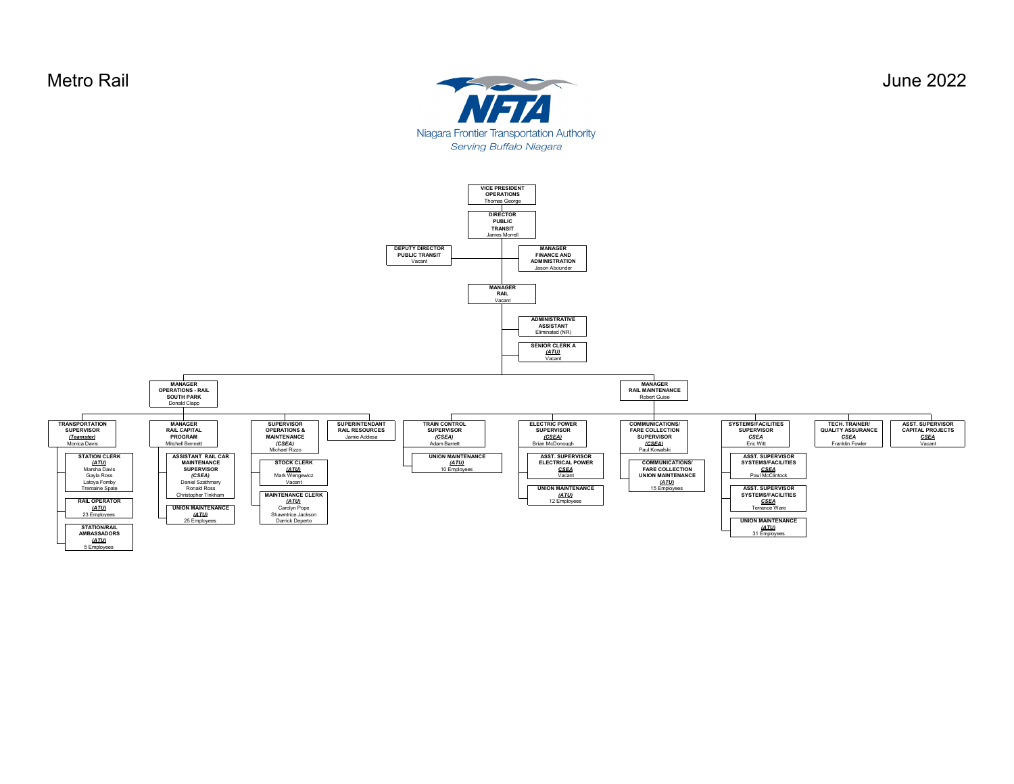Metro Rail June 2022 Niagara Frontier Transportation Authority Serving Buffalo Niagara